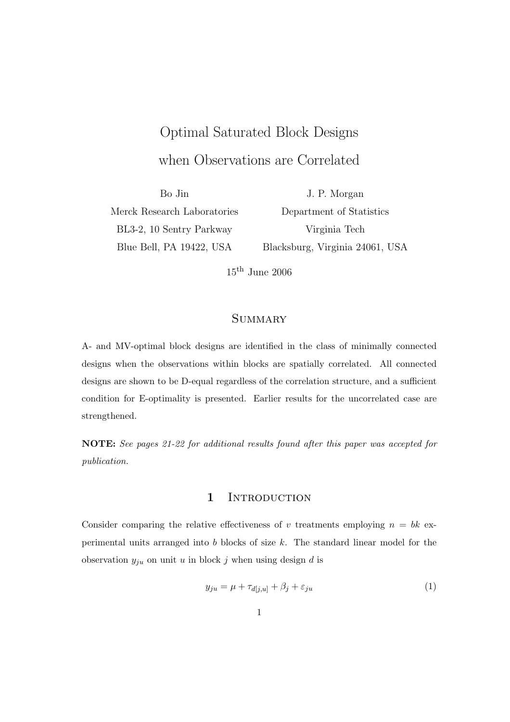# Optimal Saturated Block Designs when Observations are Correlated

Bo Jin Merck Research Laboratories BL3-2, 10 Sentry Parkway Blue Bell, PA 19422, USA

J. P. Morgan Department of Statistics Virginia Tech Blacksburg, Virginia 24061, USA

 $15^{\text{th}}$  June 2006

# **SUMMARY**

A- and MV-optimal block designs are identified in the class of minimally connected designs when the observations within blocks are spatially correlated. All connected designs are shown to be D-equal regardless of the correlation structure, and a sufficient condition for E-optimality is presented. Earlier results for the uncorrelated case are strengthened.

NOTE: See pages 21-22 for additional results found after this paper was accepted for publication.

# 1 INTRODUCTION

Consider comparing the relative effectiveness of v treatments employing  $n = bk$  experimental units arranged into  $b$  blocks of size  $k$ . The standard linear model for the observation  $y_{ju}$  on unit u in block j when using design d is

$$
y_{ju} = \mu + \tau_{d[j,u]} + \beta_j + \varepsilon_{ju}
$$
\n<sup>(1)</sup>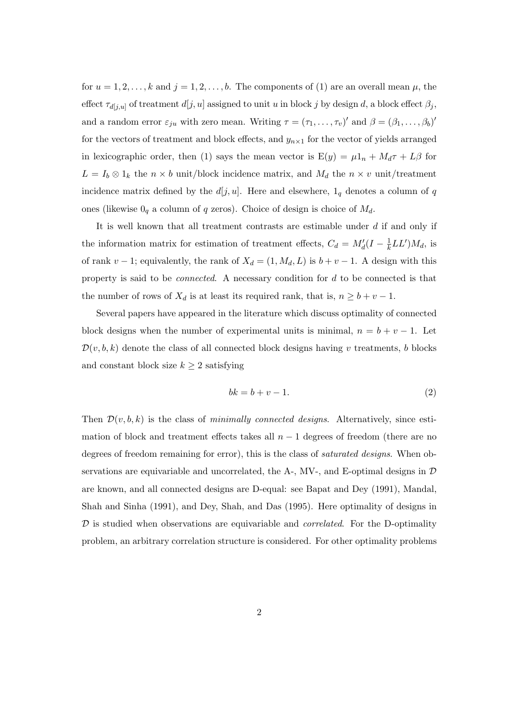for  $u = 1, 2, \ldots, k$  and  $j = 1, 2, \ldots, b$ . The components of (1) are an overall mean  $\mu$ , the effect  $\tau_{d[j,u]}$  of treatment  $d[j,u]$  assigned to unit u in block j by design d, a block effect  $\beta_j$ , and a random error  $\varepsilon_{ju}$  with zero mean. Writing  $\tau = (\tau_1, \ldots, \tau_v)'$  and  $\beta = (\beta_1, \ldots, \beta_b)'$ for the vectors of treatment and block effects, and  $y_{n\times 1}$  for the vector of yields arranged in lexicographic order, then (1) says the mean vector is  $E(y) = \mu 1_n + M_d \tau + L\beta$  for  $L = I_b \otimes 1_k$  the  $n \times b$  unit/block incidence matrix, and  $M_d$  the  $n \times v$  unit/treatment incidence matrix defined by the  $d[j, u]$ . Here and elsewhere,  $1<sub>q</sub>$  denotes a column of q ones (likewise  $0_q$  a column of q zeros). Choice of design is choice of  $M_d$ .

It is well known that all treatment contrasts are estimable under  $d$  if and only if the information matrix for estimation of treatment effects,  $C_d = M'_d(I - \frac{1}{k})$  $\frac{1}{k}LL^{\prime})M_{d}$ , is of rank  $v - 1$ ; equivalently, the rank of  $X_d = (1, M_d, L)$  is  $b + v - 1$ . A design with this property is said to be connected. A necessary condition for d to be connected is that the number of rows of  $X_d$  is at least its required rank, that is,  $n \geq b + v - 1$ .

Several papers have appeared in the literature which discuss optimality of connected block designs when the number of experimental units is minimal,  $n = b + v - 1$ . Let  $\mathcal{D}(v, b, k)$  denote the class of all connected block designs having v treatments, b blocks and constant block size  $k \geq 2$  satisfying

$$
bk = b + v - 1.\tag{2}
$$

Then  $\mathcal{D}(v, b, k)$  is the class of minimally connected designs. Alternatively, since estimation of block and treatment effects takes all  $n-1$  degrees of freedom (there are no degrees of freedom remaining for error), this is the class of *saturated designs*. When observations are equivariable and uncorrelated, the A-, MV-, and E-optimal designs in  $\mathcal D$ are known, and all connected designs are D-equal: see Bapat and Dey (1991), Mandal, Shah and Sinha (1991), and Dey, Shah, and Das (1995). Here optimality of designs in  $D$  is studied when observations are equivariable and *correlated*. For the D-optimality problem, an arbitrary correlation structure is considered. For other optimality problems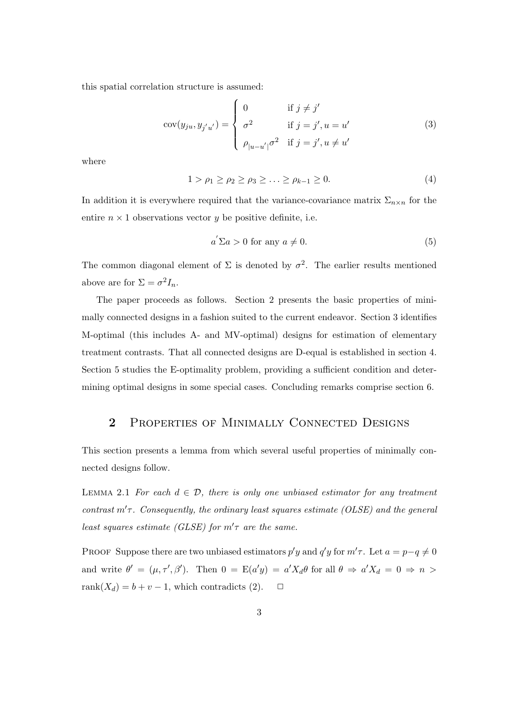this spatial correlation structure is assumed:

$$
cov(y_{ju}, y_{j'u'}) = \begin{cases} 0 & \text{if } j \neq j' \\ \sigma^2 & \text{if } j = j', u = u' \\ \rho_{|u-u'|}\sigma^2 & \text{if } j = j', u \neq u' \end{cases}
$$
 (3)

where

$$
1 > \rho_1 \ge \rho_2 \ge \rho_3 \ge \ldots \ge \rho_{k-1} \ge 0. \tag{4}
$$

In addition it is everywhere required that the variance-covariance matrix  $\Sigma_{n\times n}$  for the entire  $n \times 1$  observations vector y be positive definite, i.e.

$$
a' \Sigma a > 0 \text{ for any } a \neq 0. \tag{5}
$$

The common diagonal element of  $\Sigma$  is denoted by  $\sigma^2$ . The earlier results mentioned above are for  $\Sigma = \sigma^2 I_n$ .

The paper proceeds as follows. Section 2 presents the basic properties of minimally connected designs in a fashion suited to the current endeavor. Section 3 identifies M-optimal (this includes A- and MV-optimal) designs for estimation of elementary treatment contrasts. That all connected designs are D-equal is established in section 4. Section 5 studies the E-optimality problem, providing a sufficient condition and determining optimal designs in some special cases. Concluding remarks comprise section 6.

### 2 PROPERTIES OF MINIMALLY CONNECTED DESIGNS

This section presents a lemma from which several useful properties of minimally connected designs follow.

LEMMA 2.1 For each  $d \in \mathcal{D}$ , there is only one unbiased estimator for any treatment contrast  $m'$   $\tau$ . Consequently, the ordinary least squares estimate (OLSE) and the general least squares estimate (GLSE) for  $m'$  are the same.

PROOF Suppose there are two unbiased estimators  $p'y$  and  $q'y$  for  $m'\tau$ . Let  $a = p-q \neq 0$ and write  $\theta' = (\mu, \tau', \beta')$ . Then  $0 = E(a'y) = a'X_d\theta$  for all  $\theta \Rightarrow a'X_d = 0 \Rightarrow n >$ rank $(X_d) = b + v - 1$ , which contradicts (2).  $\Box$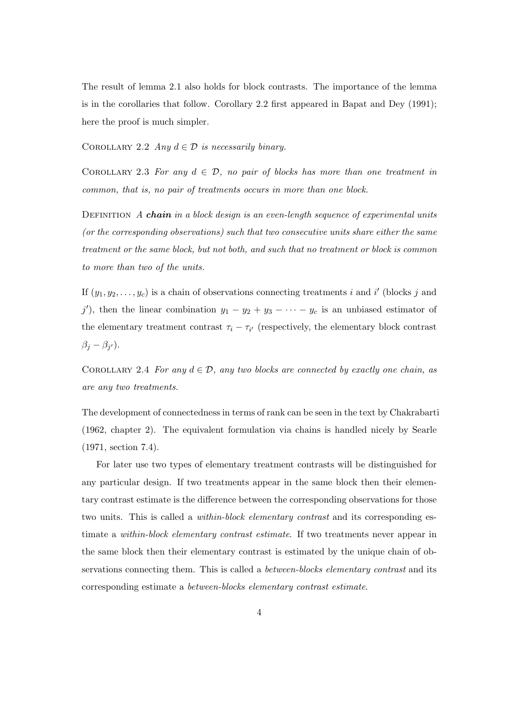The result of lemma 2.1 also holds for block contrasts. The importance of the lemma is in the corollaries that follow. Corollary 2.2 first appeared in Bapat and Dey (1991); here the proof is much simpler.

COROLLARY 2.2 Any  $d \in \mathcal{D}$  is necessarily binary.

COROLLARY 2.3 For any  $d \in \mathcal{D}$ , no pair of blocks has more than one treatment in common, that is, no pair of treatments occurs in more than one block.

DEFINITION  $A$  chain in a block design is an even-length sequence of experimental units (or the corresponding observations) such that two consecutive units share either the same treatment or the same block, but not both, and such that no treatment or block is common to more than two of the units.

If  $(y_1, y_2, \ldots, y_c)$  is a chain of observations connecting treatments i and i' (blocks j and j'), then the linear combination  $y_1 - y_2 + y_3 - \cdots - y_c$  is an unbiased estimator of the elementary treatment contrast  $\tau_i - \tau_{i'}$  (respectively, the elementary block contrast  $\beta_j - \beta_{j'}$ ).

COROLLARY 2.4 For any  $d \in \mathcal{D}$ , any two blocks are connected by exactly one chain, as are any two treatments.

The development of connectedness in terms of rank can be seen in the text by Chakrabarti (1962, chapter 2). The equivalent formulation via chains is handled nicely by Searle (1971, section 7.4).

For later use two types of elementary treatment contrasts will be distinguished for any particular design. If two treatments appear in the same block then their elementary contrast estimate is the difference between the corresponding observations for those two units. This is called a *within-block elementary contrast* and its corresponding estimate a within-block elementary contrast estimate. If two treatments never appear in the same block then their elementary contrast is estimated by the unique chain of observations connecting them. This is called a *between-blocks elementary contrast* and its corresponding estimate a between-blocks elementary contrast estimate.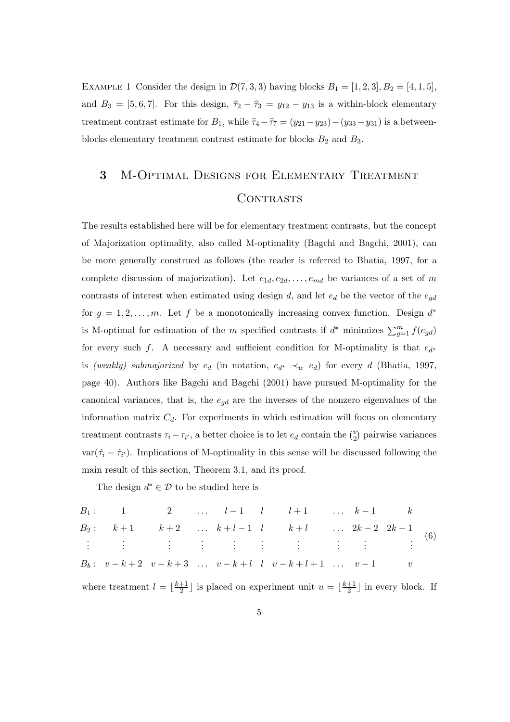EXAMPLE 1 Consider the design in  $\mathcal{D}(7,3,3)$  having blocks  $B_1 = [1,2,3], B_2 = [4,1,5],$ and  $B_3 = [5, 6, 7]$ . For this design,  $\hat{\tau}_2 - \hat{\tau}_3 = y_{12} - y_{13}$  is a within-block elementary treatment contrast estimate for  $B_1$ , while  $\hat{\tau}_4 - \hat{\tau}_7 = (y_{21} - y_{23}) - (y_{33} - y_{31})$  is a betweenblocks elementary treatment contrast estimate for blocks  $B_2$  and  $B_3$ .

# 3 M-Optimal Designs for Elementary Treatment CONTRASTS

The results established here will be for elementary treatment contrasts, but the concept of Majorization optimality, also called M-optimality (Bagchi and Bagchi, 2001), can be more generally construed as follows (the reader is referred to Bhatia, 1997, for a complete discussion of majorization). Let  $e_{1d}, e_{2d}, \ldots, e_{md}$  be variances of a set of m contrasts of interest when estimated using design d, and let  $e_d$  be the vector of the  $e_{qd}$ for  $g = 1, 2, \ldots, m$ . Let f be a monotonically increasing convex function. Design  $d^*$ is M-optimal for estimation of the m specified contrasts if  $d^*$  minimizes  $\sum_{g=1}^m f(e_{gd})$ for every such f. A necessary and sufficient condition for M-optimality is that  $e_{d^*}$ is (weakly) submajorized by  $e_d$  (in notation,  $e_{d^*} \prec_w e_d$ ) for every d (Bhatia, 1997, page 40). Authors like Bagchi and Bagchi (2001) have pursued M-optimality for the canonical variances, that is, the  $e_{qd}$  are the inverses of the nonzero eigenvalues of the information matrix  $C_d$ . For experiments in which estimation will focus on elementary treatment contrasts  $\tau_i - \tau_{i'}$ , a better choice is to let  $e_d$  contain the  $\binom{v}{2}$ 2 ¢ pairwise variances  $var(\hat{\tau}_i - \hat{\tau}_{i'})$ . Implications of M-optimality in this sense will be discussed following the main result of this section, Theorem 3.1, and its proof.

The design  $d^* \in \mathcal{D}$  to be studied here is

B<sup>1</sup> : 1 2 . . . l − 1 l l + 1 . . . k − 1 k B<sup>2</sup> : k + 1 k + 2 . . . k + l − 1 l k + l . . . 2k − 2 2k − 1 . . . . . . . . . . . . . . . . . . . . . . . . . . . . . . B<sup>b</sup> : v − k + 2 v − k + 3 . . . v − k + l l v − k + l + 1 . . . v − 1 v (6)

where treatment  $l = \frac{k+1}{2}$  $\frac{+1}{2}$  is placed on experiment unit  $u = \lfloor \frac{k+1}{2} \rfloor$  $\frac{+1}{2}$  in every block. If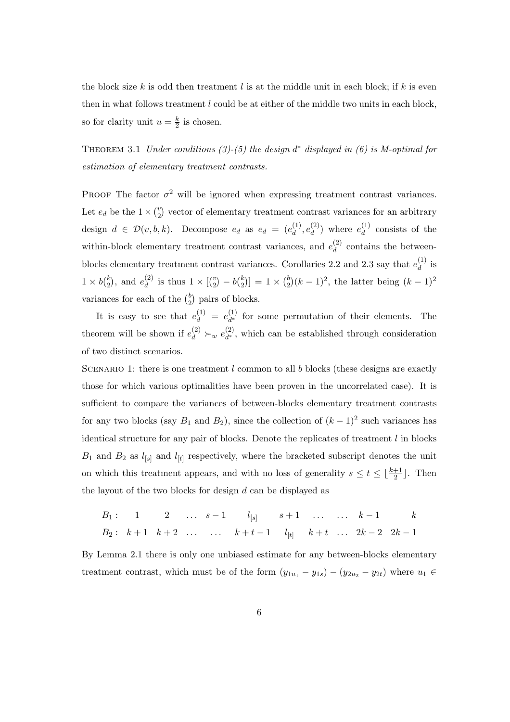the block size k is odd then treatment l is at the middle unit in each block; if k is even then in what follows treatment l could be at either of the middle two units in each block, so for clarity unit  $u = \frac{k}{2}$  $\frac{k}{2}$  is chosen.

THEOREM 3.1 Under conditions (3)-(5) the design  $d^*$  displayed in (6) is M-optimal for estimation of elementary treatment contrasts.

PROOF The factor  $\sigma^2$  will be ignored when expressing treatment contrast variances. Let  $e_d$  be the  $1 \times {v \choose 2}$ 2 ¢ vector of elementary treatment contrast variances for an arbitrary design  $d \in \mathcal{D}(v, b, k)$ . Decompose  $e_d$  as  $e_d = (e_d^{(1)})$  $\overset{(1)}{d},\overset{(2)}{e_d^l}$  $\binom{2}{d}$  where  $e_d^{(1)}$  $\frac{d^{(1)}}{d}$  consists of the within-block elementary treatment contrast variances, and  $e_d^{(2)}$  $\frac{d^{(2)}}{d}$  contains the betweenblocks elementary treatment contrast variances. Corollaries 2.2 and 2.3 say that  $e_d^{(1)}$  $d$  is  $1 \times b\binom{k}{2}$ 2 ), and  $e_d^{(2)}$  $\binom{2}{d}$  is thus  $1 \times \binom{v}{2}$ 2  $- bbinom{k}{2}$ 2  $| = 1 \times {b \choose 2}$ 2  $(k-1)^2$ , the latter being  $(k-1)^2$ variances for each of the  $\binom{b}{2}$ 2 ¢ pairs of blocks.

It is easy to see that  $e_d^{(1)} = e_{d^*}^{(1)}$  $\frac{d^{(1)}}{d^*}$  for some permutation of their elements. The theorem will be shown if  $e_d^{(2)} \succ_w e_{d^*}^{(2)}$  $\frac{d^{(2)}}{dt^*}$ , which can be established through consideration of two distinct scenarios.

SCENARIO 1: there is one treatment  $l$  common to all  $b$  blocks (these designs are exactly those for which various optimalities have been proven in the uncorrelated case). It is sufficient to compare the variances of between-blocks elementary treatment contrasts for any two blocks (say  $B_1$  and  $B_2$ ), since the collection of  $(k-1)^2$  such variances has identical structure for any pair of blocks. Denote the replicates of treatment  $l$  in blocks  $B_1$  and  $B_2$  as  $l_{[s]}$  and  $l_{[t]}$  respectively, where the bracketed subscript denotes the unit on which this treatment appears, and with no loss of generality  $s \leq t \leq \lfloor \frac{k+1}{2} \rfloor$ . Then the layout of the two blocks for design  $d$  can be displayed as

$$
B_1: \quad 1 \qquad 2 \qquad \dots \quad s-1 \qquad l_{[s]} \qquad s+1 \qquad \dots \qquad \dots \qquad k-1 \qquad k
$$
\n
$$
B_2: \quad k+1 \quad k+2 \qquad \dots \qquad \dots \qquad k+t-1 \qquad l_{[t]} \qquad k+t \qquad \dots \qquad 2k-2 \quad 2k-1
$$

By Lemma 2.1 there is only one unbiased estimate for any between-blocks elementary treatment contrast, which must be of the form  $(y_{1u_1} - y_{1s}) - (y_{2u_2} - y_{2t})$  where  $u_1 \in$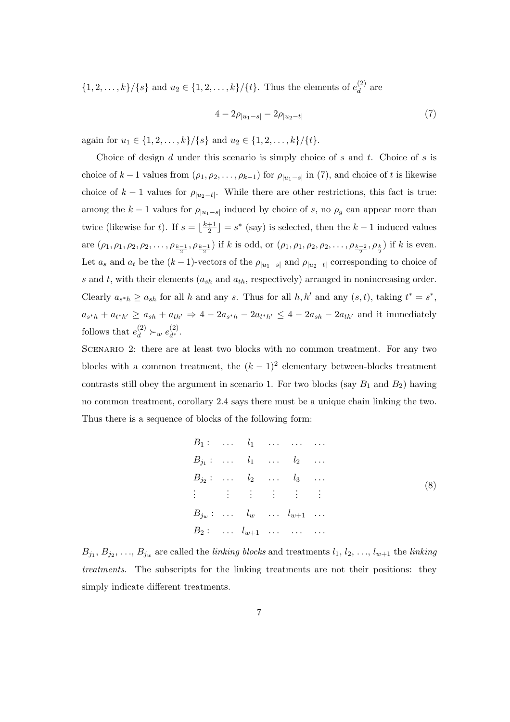$\{1, 2, \ldots, k\}/\{s\}$  and  $u_2 \in \{1, 2, \ldots, k\}/\{t\}$ . Thus the elements of  $e_d^{(2)}$  $d^{(2)}$  are

$$
4 - 2\rho_{|u_1 - s|} - 2\rho_{|u_2 - t|}
$$
\n<sup>(7)</sup>

again for  $u_1 \in \{1, 2, \ldots, k\} / \{s\}$  and  $u_2 \in \{1, 2, \ldots, k\} / \{t\}.$ 

Choice of design  $d$  under this scenario is simply choice of  $s$  and  $t$ . Choice of  $s$  is choice of  $k-1$  values from  $(\rho_1, \rho_2, \ldots, \rho_{k-1})$  for  $\rho_{|u_1-s|}$  in (7), and choice of t is likewise choice of  $k-1$  values for  $\rho_{|u_2-t|}$ . While there are other restrictions, this fact is true: among the  $k-1$  values for  $\rho_{|u_1-s|}$  induced by choice of s, no  $\rho_g$  can appear more than twice (likewise for t). If  $s = \frac{k+1}{2}$  $\frac{+1}{2}$  =  $s^*$  (say) is selected, then the  $k-1$  induced values are  $(\rho_1, \rho_1, \rho_2, \rho_2, \ldots, \rho_{\frac{k-1}{2}}, \rho_{\frac{k-1}{2}})$  if k is odd, or  $(\rho_1, \rho_1, \rho_2, \rho_2, \ldots, \rho_{\frac{k-2}{2}}, \rho_{\frac{k}{2}})$  if k is even. Let  $a_s$  and  $a_t$  be the  $(k-1)$ -vectors of the  $\rho_{|u_1-s|}$  and  $\rho_{|u_2-t|}$  corresponding to choice of s and t, with their elements  $(a_{sh}$  and  $a_{th}$ , respectively) arranged in nonincreasing order. Clearly  $a_{s^*h} \ge a_{sh}$  for all h and any s. Thus for all h, h' and any  $(s, t)$ , taking  $t^* = s^*$ ,  $a_{s*h} + a_{t*h'} \ge a_{sh} + a_{th'} \Rightarrow 4 - 2a_{s*h} - 2a_{t*h'} \le 4 - 2a_{sh} - 2a_{th'}$  and it immediately follows that  $e_d^{(2)} \succ_w e_{d^*}^{(2)}$  $\frac{(2)}{d^*}$ .

Scenario 2: there are at least two blocks with no common treatment. For any two blocks with a common treatment, the  $(k-1)^2$  elementary between-blocks treatment contrasts still obey the argument in scenario 1. For two blocks (say  $B_1$  and  $B_2$ ) having no common treatment, corollary 2.4 says there must be a unique chain linking the two. Thus there is a sequence of blocks of the following form:

$$
B_1: \ldots \quad l_1 \quad \ldots \quad \ldots
$$
  
\n
$$
B_{j_1}: \quad \ldots \quad l_1 \quad \ldots \quad l_2 \quad \ldots
$$
  
\n
$$
B_{j_2}: \quad \ldots \quad l_2 \quad \ldots \quad l_3 \quad \ldots
$$
  
\n
$$
\vdots \quad \vdots \quad \vdots \quad \vdots \quad \vdots \quad \vdots
$$
  
\n
$$
B_{j_w}: \quad \ldots \quad l_w \quad \ldots \quad l_{w+1} \quad \ldots
$$
  
\n
$$
B_2: \quad \ldots \quad l_{w+1} \quad \ldots \quad \ldots
$$
  
\n
$$
\ldots \quad \ldots \quad \ldots
$$

 $B_{j_1}, B_{j_2}, \ldots, B_{j_w}$  are called the *linking blocks* and treatments  $l_1, l_2, \ldots, l_{w+1}$  the *linking* treatments. The subscripts for the linking treatments are not their positions: they simply indicate different treatments.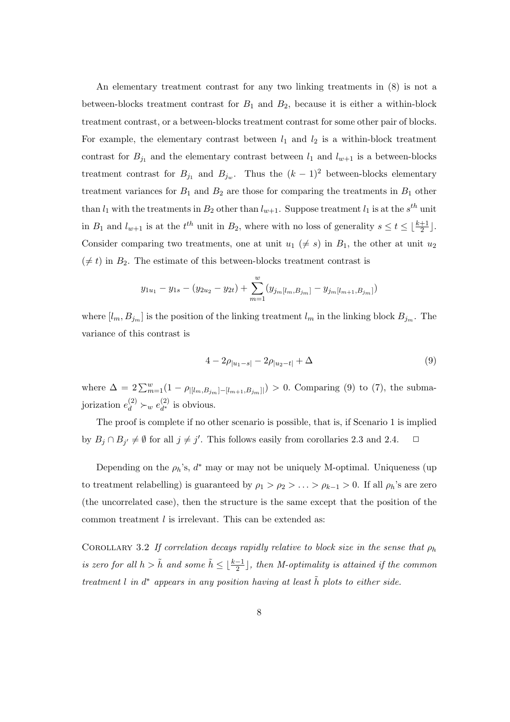An elementary treatment contrast for any two linking treatments in (8) is not a between-blocks treatment contrast for  $B_1$  and  $B_2$ , because it is either a within-block treatment contrast, or a between-blocks treatment contrast for some other pair of blocks. For example, the elementary contrast between  $l_1$  and  $l_2$  is a within-block treatment contrast for  $B_{j_1}$  and the elementary contrast between  $l_1$  and  $l_{w+1}$  is a between-blocks treatment contrast for  $B_{j_1}$  and  $B_{j_w}$ . Thus the  $(k-1)^2$  between-blocks elementary treatment variances for  $B_1$  and  $B_2$  are those for comparing the treatments in  $B_1$  other than  $l_1$  with the treatments in  $B_2$  other than  $l_{w+1}$ . Suppose treatment  $l_1$  is at the  $s^{th}$  unit in  $B_1$  and  $l_{w+1}$  is at the  $t^{th}$  unit in  $B_2$ , where with no loss of generality  $s \le t \le \lfloor \frac{k+1}{2} \rfloor$ . Consider comparing two treatments, one at unit  $u_1 \neq s$  in  $B_1$ , the other at unit  $u_2$  $(\neq t)$  in  $B_2$ . The estimate of this between-blocks treatment contrast is

$$
y_{1u_1} - y_{1s} - (y_{2u_2} - y_{2t}) + \sum_{m=1}^{w} (y_{j_m[l_m, B_{j_m}]} - y_{j_m[l_{m+1}, B_{j_m}]})
$$

where  $[l_m, B_{j_m}]$  is the position of the linking treatment  $l_m$  in the linking block  $B_{j_m}$ . The variance of this contrast is

$$
4 - 2\rho_{|u_1 - s|} - 2\rho_{|u_2 - t|} + \Delta \tag{9}
$$

where  $\Delta = 2 \sum_{m=1}^{w} (1 - \rho_{[[l_m, B_{j_m}]-[l_{m+1}, B_{j_m}]]}) > 0$ . Comparing (9) to (7), the submajorization  $e_d^{(2)} \succ_w e_{d^*}^{(2)}$  $\frac{d^{(2)}}{d^*}$  is obvious.

The proof is complete if no other scenario is possible, that is, if Scenario 1 is implied by  $B_j \cap B_{j'} \neq \emptyset$  for all  $j \neq j'$ . This follows easily from corollaries 2.3 and 2.4.  $\Box$ 

Depending on the  $\rho_h$ 's,  $d^*$  may or may not be uniquely M-optimal. Uniqueness (up to treatment relabelling) is guaranteed by  $\rho_1 > \rho_2 > \ldots > \rho_{k-1} > 0$ . If all  $\rho_h$ 's are zero (the uncorrelated case), then the structure is the same except that the position of the common treatment  $l$  is irrelevant. This can be extended as:

COROLLARY 3.2 If correlation decays rapidly relative to block size in the sense that  $\rho_h$ is zero for all  $h > \tilde{h}$  and some  $\tilde{h} \leq \lfloor \frac{k-1}{2} \rfloor$ , then M-optimality is attained if the common treatment l in  $d^*$  appears in any position having at least  $\tilde{h}$  plots to either side.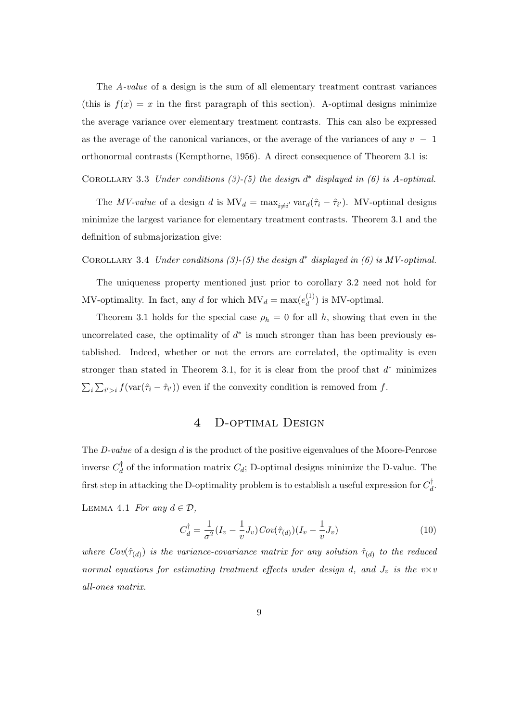The A-value of a design is the sum of all elementary treatment contrast variances (this is  $f(x) = x$  in the first paragraph of this section). A-optimal designs minimize the average variance over elementary treatment contrasts. This can also be expressed as the average of the canonical variances, or the average of the variances of any  $v - 1$ orthonormal contrasts (Kempthorne, 1956). A direct consequence of Theorem 3.1 is:

COROLLARY 3.3 Under conditions  $(3)-(5)$  the design  $d^*$  displayed in  $(6)$  is A-optimal.

The *MV-value* of a design d is  $MV_d = \max_{i \neq i'} var_d(\hat{\tau}_i - \hat{\tau}_{i'})$ . MV-optimal designs minimize the largest variance for elementary treatment contrasts. Theorem 3.1 and the definition of submajorization give:

COROLLARY 3.4 Under conditions  $(3)-(5)$  the design  $d^*$  displayed in  $(6)$  is MV-optimal.

The uniqueness property mentioned just prior to corollary 3.2 need not hold for MV-optimality. In fact, any d for which  $MV_d = \max(e_d^{(1)})$  $\binom{1}{d}$  is MV-optimal.

Theorem 3.1 holds for the special case  $\rho_h = 0$  for all h, showing that even in the uncorrelated case, the optimality of  $d^*$  is much stronger than has been previously established. Indeed, whether or not the errors are correlated, the optimality is even stronger than stated in Theorem 3.1, for it is clear from the proof that  $d^*$  minimizes  $\overline{ }$ i  $\overline{ }$  $i > i f(\text{var}(\hat{\tau}_i - \hat{\tau}_{i'}))$  even if the convexity condition is removed from f.

### 4 D-optimal Design

The  $D-value$  of a design  $d$  is the product of the positive eigenvalues of the Moore-Penrose inverse  $C_d^{\dagger}$  $d_d$  of the information matrix  $C_d$ ; D-optimal designs minimize the D-value. The first step in attacking the D-optimality problem is to establish a useful expression for  $C_d^{\dagger}$  $_d^{\intercal}$ .

LEMMA 4.1 For any  $d \in \mathcal{D}$ ,

$$
C_d^\dagger = \frac{1}{\sigma^2} (I_v - \frac{1}{v} J_v) Cov(\hat{\tau}_{(d)}) (I_v - \frac{1}{v} J_v)
$$
\n
$$
(10)
$$

where  $Cov(\hat{\tau}_{(d)})$  is the variance-covariance matrix for any solution  $\hat{\tau}_{(d)}$  to the reduced normal equations for estimating treatment effects under design d, and  $J_v$  is the v $\times v$ all-ones matrix.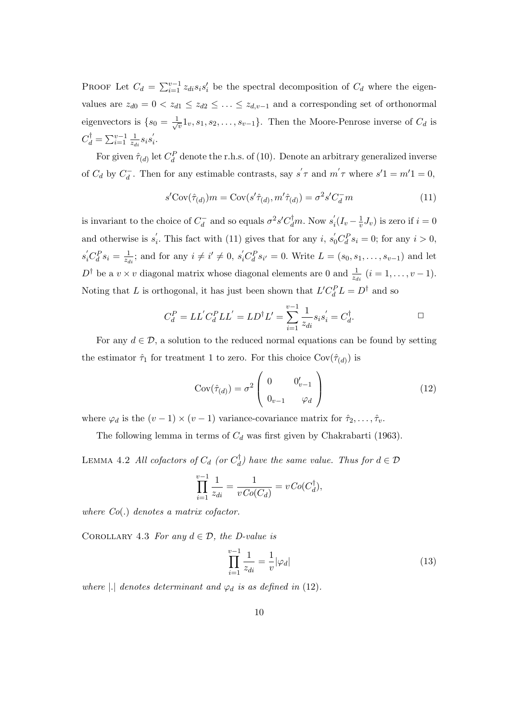PROOF Let  $C_d = \sum_{i=1}^{v-1} z_{di} s_i s'_i$  be the spectral decomposition of  $C_d$  where the eigenvalues are  $z_{d0} = 0 < z_{d1} \leq z_{d2} \leq \ldots \leq z_{d,v-1}$  and a corresponding set of orthonormal eigenvectors is  $\{s_0 = \frac{1}{\sqrt{2}}\}$  $\{\overline{v}_v, s_1, s_2, \ldots, s_{v-1}\}.$  Then the Moore-Penrose inverse of  $C_d$  is  $C_d^{\dagger} = \sum_{i=1}^{v-1} \frac{1}{z_d}$  $\frac{1}{z_{di}}s_is_i'$ i .

For given  $\hat{\tau}_{(d)}$  let  $C_d^P$  denote the r.h.s. of (10). Denote an arbitrary generalized inverse of  $C_d$  by  $C_d^-$ . Then for any estimable contrasts, say  $s' \tau$  and  $m' \tau$  where  $s'1 = m'1 = 0$ ,

$$
s' \text{Cov}(\hat{\tau}_{(d)}) m = \text{Cov}(s'\hat{\tau}_{(d)}, m'\hat{\tau}_{(d)}) = \sigma^2 s' C_d^- m \tag{11}
$$

is invariant to the choice of  $C_d^-$  and so equals  $\sigma^2 s' C_d^{\dagger} m$ . Now  $s'_i$  $i_{i}^{'}(I_{v}-\frac{1}{v})$  $(v^{\perp}_v J_v)$  is zero if  $i = 0$ and otherwise is  $s_i'$ <sup>'</sup><sub>i</sub>. This fact with (11) gives that for any *i*,  $s'_0 C_d^P s_i = 0$ ; for any *i* > 0,  $s_i'C_d^P s_i = \frac{1}{z_d}$  $\frac{1}{z_{di}}$ ; and for any  $i \neq i' \neq 0$ ,  $s'_i C_d^P s_{i'} = 0$ . Write  $L = (s_0, s_1, \ldots, s_{v-1})$  and let  $D^{\dagger}$  be a  $v \times v$  diagonal matrix whose diagonal elements are 0 and  $\frac{1}{z_{di}}$   $(i = 1, \ldots, v - 1)$ . Noting that L is orthogonal, it has just been shown that  $L'C_d^P L = D^{\dagger}$  and so

$$
C_d^P = LL'C_d^P LL' = LD^{\dagger}L' = \sum_{i=1}^{v-1} \frac{1}{z_{di}} s_i s_i' = C_d^{\dagger}.
$$

For any  $d \in \mathcal{D}$ , a solution to the reduced normal equations can be found by setting the estimator  $\hat{\tau}_1$  for treatment 1 to zero. For this choice  $Cov(\hat{\tau}_{(d)})$  is

$$
Cov(\hat{\tau}_{(d)}) = \sigma^2 \begin{pmatrix} 0 & 0'_{v-1} \\ 0_{v-1} & \varphi_d \end{pmatrix}
$$
 (12)

where  $\varphi_d$  is the  $(v-1) \times (v-1)$  variance-covariance matrix for  $\hat{\tau}_2, \ldots, \hat{\tau}_v$ .

The following lemma in terms of  $C_d$  was first given by Chakrabarti (1963).

LEMMA 4.2 All cofactors of  $C_d$  (or  $C_d^\dagger$  $\binom{d}{d}$  have the same value. Thus for  $d \in \mathcal{D}$ 

$$
\prod_{i=1}^{v-1} \frac{1}{z_{di}} = \frac{1}{vCo(C_d)} = vCo(C_d^{\dagger}),
$$

where Co(.) denotes a matrix cofactor.

COROLLARY 4.3 For any  $d \in \mathcal{D}$ , the D-value is

$$
\prod_{i=1}^{v-1} \frac{1}{z_{di}} = \frac{1}{v} |\varphi_d| \tag{13}
$$

where |.| denotes determinant and  $\varphi_d$  is as defined in (12).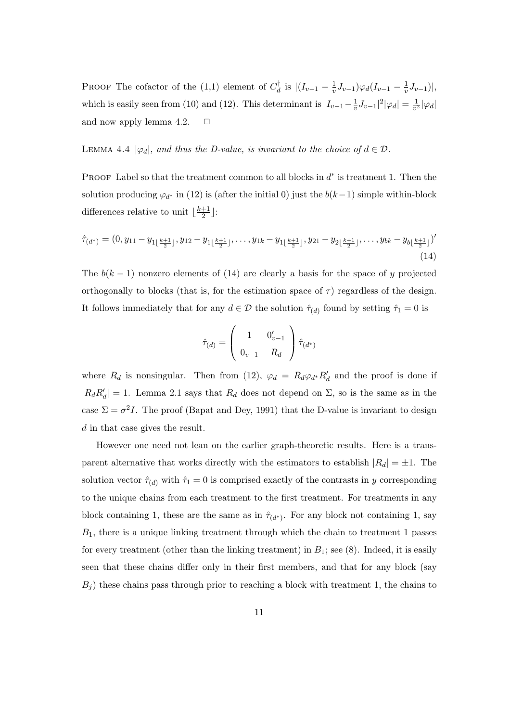PROOF The cofactor of the  $(1,1)$  element of  $C_d^{\dagger}$  $\frac{d}{d}$  is  $|(I_{v-1}-\frac{1}{v})$  $\frac{1}{v}J_{v-1})\varphi_d(I_{v-1}-\frac{1}{v})$  $\frac{1}{v}J_{v-1})|,$ which is easily seen from (10) and (12). This determinant is  $|I_{v-1}-\frac{1}{v}|$  $\frac{1}{v}J_{v-1}|^2|\varphi_d|=\frac{1}{v^2}$  $\frac{1}{v^2}|\varphi_d|$ and now apply lemma 4.2.  $\Box$ 

LEMMA 4.4  $|\varphi_d|$ , and thus the D-value, is invariant to the choice of  $d \in \mathcal{D}$ .

PROOF Label so that the treatment common to all blocks in  $d^*$  is treatment 1. Then the solution producing  $\varphi_{d^*}$  in (12) is (after the initial 0) just the  $b(k-1)$  simple within-block differences relative to unit  $\frac{k+1}{2}$  $\frac{+1}{2}$ ]:

$$
\hat{\tau}_{(d^*)} = (0, y_{11} - y_{1\lfloor \frac{k+1}{2} \rfloor}, y_{12} - y_{1\lfloor \frac{k+1}{2} \rfloor}, \dots, y_{1k} - y_{1\lfloor \frac{k+1}{2} \rfloor}, y_{21} - y_{2\lfloor \frac{k+1}{2} \rfloor}, \dots, y_{bk} - y_{b\lfloor \frac{k+1}{2} \rfloor})'
$$
\n(14)

The  $b(k-1)$  nonzero elements of (14) are clearly a basis for the space of y projected orthogonally to blocks (that is, for the estimation space of  $\tau$ ) regardless of the design. It follows immediately that for any  $d \in \mathcal{D}$  the solution  $\hat{\tau}_{(d)}$  found by setting  $\hat{\tau}_1 = 0$  is

$$
\hat{\tau}_{(d)} = \left(\begin{array}{cc} 1 & 0'_{v-1} \\ 0_{v-1} & R_d \end{array}\right) \hat{\tau}_{(d^*)}
$$

where  $R_d$  is nonsingular. Then from (12),  $\varphi_d = R_d \varphi_{d*} R'_d$  and the proof is done if  $|R_d R'_d| = 1$ . Lemma 2.1 says that  $R_d$  does not depend on  $\Sigma$ , so is the same as in the case  $\Sigma = \sigma^2 I$ . The proof (Bapat and Dey, 1991) that the D-value is invariant to design d in that case gives the result.

However one need not lean on the earlier graph-theoretic results. Here is a transparent alternative that works directly with the estimators to establish  $|R_d| = \pm 1$ . The solution vector  $\hat{\tau}_{(d)}$  with  $\hat{\tau}_1 = 0$  is comprised exactly of the contrasts in y corresponding to the unique chains from each treatment to the first treatment. For treatments in any block containing 1, these are the same as in  $\hat{\tau}_{(d^*)}$ . For any block not containing 1, say  $B_1$ , there is a unique linking treatment through which the chain to treatment 1 passes for every treatment (other than the linking treatment) in  $B_1$ ; see (8). Indeed, it is easily seen that these chains differ only in their first members, and that for any block (say  $B<sub>i</sub>$ ) these chains pass through prior to reaching a block with treatment 1, the chains to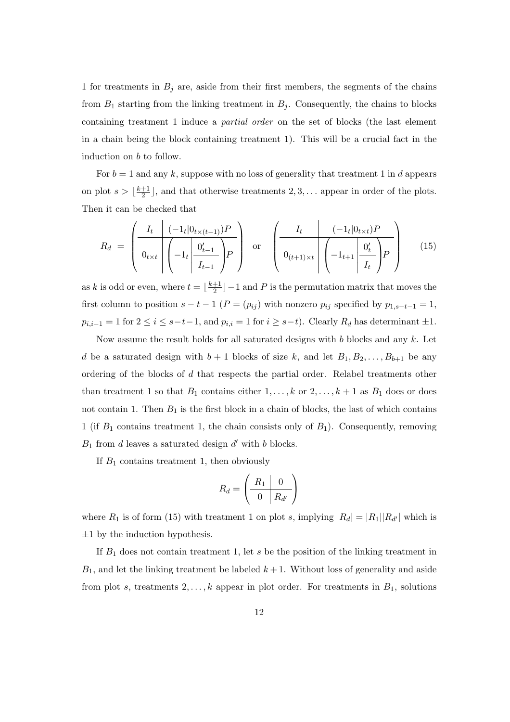1 for treatments in  $B_j$  are, aside from their first members, the segments of the chains from  $B_1$  starting from the linking treatment in  $B_j$ . Consequently, the chains to blocks containing treatment 1 induce a partial order on the set of blocks (the last element in a chain being the block containing treatment 1). This will be a crucial fact in the induction on b to follow.

For  $b = 1$  and any k, suppose with no loss of generality that treatment 1 in d appears on plot  $s > \frac{k+1}{2}$  $\frac{+1}{2}$ , and that otherwise treatments 2, 3, ... appear in order of the plots. Then it can be checked that

$$
R_d = \left(\frac{I_t \left| (-1_t \mid 0_{t \times (t-1)}) P}{0_{t \times t} \left| \left( -1_t \left| \frac{0_{t-1}'}{I_{t-1}} \right) P \right|} \right| \text{ or } \left(\frac{I_t \left| (-1_t \mid 0_{t \times t}) P \right|}{0_{(t+1) \times t} \left| \left( -1_{t+1} \left| \frac{0_{t}'}{I_t} \right) P \right|} \right| \right) \tag{15}
$$

as k is odd or even, where  $t = \frac{k+1}{2}$  $\frac{+1}{2}$   $-1$  and P is the permutation matrix that moves the first column to position  $s - t - 1$  ( $P = (p_{ij})$  with nonzero  $p_{ij}$  specified by  $p_{1,s-t-1} = 1$ ,  $p_{i,i-1} = 1$  for  $2 \le i \le s-t-1$ , and  $p_{i,i} = 1$  for  $i \ge s-t$ ). Clearly  $R_d$  has determinant  $\pm 1$ .

Now assume the result holds for all saturated designs with  $b$  blocks and any  $k$ . Let d be a saturated design with  $b + 1$  blocks of size k, and let  $B_1, B_2, \ldots, B_{b+1}$  be any ordering of the blocks of d that respects the partial order. Relabel treatments other than treatment 1 so that  $B_1$  contains either  $1, \ldots, k$  or  $2, \ldots, k+1$  as  $B_1$  does or does not contain 1. Then  $B_1$  is the first block in a chain of blocks, the last of which contains 1 (if  $B_1$  contains treatment 1, the chain consists only of  $B_1$ ). Consequently, removing  $B_1$  from d leaves a saturated design  $d'$  with b blocks.

If  $B_1$  contains treatment 1, then obviously

$$
R_d = \left(\begin{array}{c|c} R_1 & 0 \\ \hline 0 & R_{d'} \end{array}\right)
$$

where  $R_1$  is of form (15) with treatment 1 on plot s, implying  $|R_d| = |R_1||R_{d'}|$  which is  $\pm 1$  by the induction hypothesis.

If  $B_1$  does not contain treatment 1, let s be the position of the linking treatment in  $B_1$ , and let the linking treatment be labeled  $k+1$ . Without loss of generality and aside from plot s, treatments  $2, \ldots, k$  appear in plot order. For treatments in  $B_1$ , solutions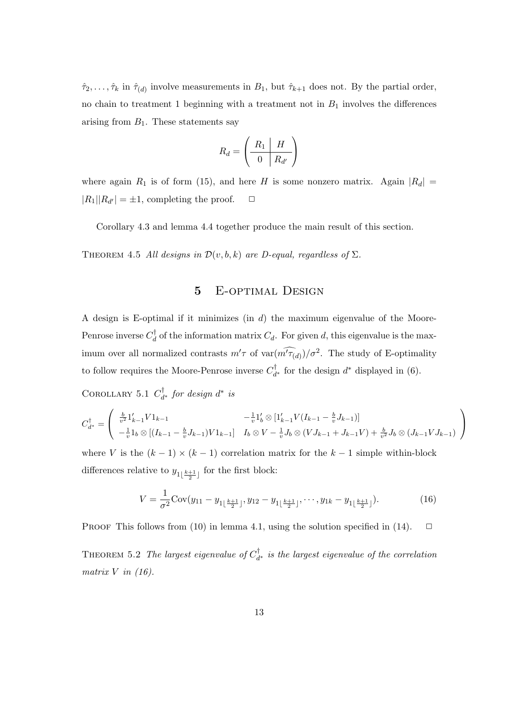$\hat{\tau}_2, \ldots, \hat{\tau}_k$  in  $\hat{\tau}_{(d)}$  involve measurements in  $B_1$ , but  $\hat{\tau}_{k+1}$  does not. By the partial order, no chain to treatment 1 beginning with a treatment not in  $B_1$  involves the differences arising from  $B_1$ . These statements say

$$
R_d = \left(\begin{array}{c|c} R_1 & H \\ \hline 0 & R_{d'} \end{array}\right)
$$

where again  $R_1$  is of form (15), and here H is some nonzero matrix. Again  $|R_d|$  =  $|R_1||R_{d'}| = \pm 1$ , completing the proof.  $\Box$ 

Corollary 4.3 and lemma 4.4 together produce the main result of this section.

THEOREM 4.5 All designs in  $\mathcal{D}(v, b, k)$  are D-equal, regardless of  $\Sigma$ .

## 5 E-optimal Design

A design is E-optimal if it minimizes (in d) the maximum eigenvalue of the Moore-Penrose inverse  $C_d^{\dagger}$  $d_d$  of the information matrix  $C_d$ . For given d, this eigenvalue is the maximum over all normalized contrasts  $m' \tau$  of  $var(\widehat{m' \tau_{(d)}})/\sigma^2$ . The study of E-optimality to follow requires the Moore-Penrose inverse  $C_d^{\dagger}$  $d^*$  for the design  $d^*$  displayed in (6).

COROLLARY 5.1  $C_d^{\dagger}$  $\psi_{d^*}^{\dagger}$  for design  $d^*$  is

$$
C_{d^*}^{\dagger} = \begin{pmatrix} \frac{b}{v^2} 1'_{k-1} V 1_{k-1} & -\frac{1}{v} 1'_{b} \otimes [1'_{k-1} V (I_{k-1} - \frac{b}{v} J_{k-1})] \\ -\frac{1}{v} 1_{b} \otimes [(I_{k-1} - \frac{b}{v} J_{k-1}) V 1_{k-1}] & I_{b} \otimes V - \frac{1}{v} J_{b} \otimes (V J_{k-1} + J_{k-1} V) + \frac{b}{v^2} J_{b} \otimes (J_{k-1} V J_{k-1}) \end{pmatrix}
$$

where V is the  $(k-1) \times (k-1)$  correlation matrix for the  $k-1$  simple within-block differences relative to  $y_{1\left\lfloor \frac{k+1}{2}\right\rfloor}$  for the first block:

$$
V = \frac{1}{\sigma^2} \text{Cov}(y_{11} - y_{1\lfloor \frac{k+1}{2} \rfloor}, y_{12} - y_{1\lfloor \frac{k+1}{2} \rfloor}, \cdots, y_{1k} - y_{1\lfloor \frac{k+1}{2} \rfloor}). \tag{16}
$$

PROOF This follows from (10) in lemma 4.1, using the solution specified in (14).  $\Box$ 

THEOREM 5.2 The largest eigenvalue of  $C_d^{\dagger}$  $d_{d^*}$  is the largest eigenvalue of the correlation matrix  $V$  in (16).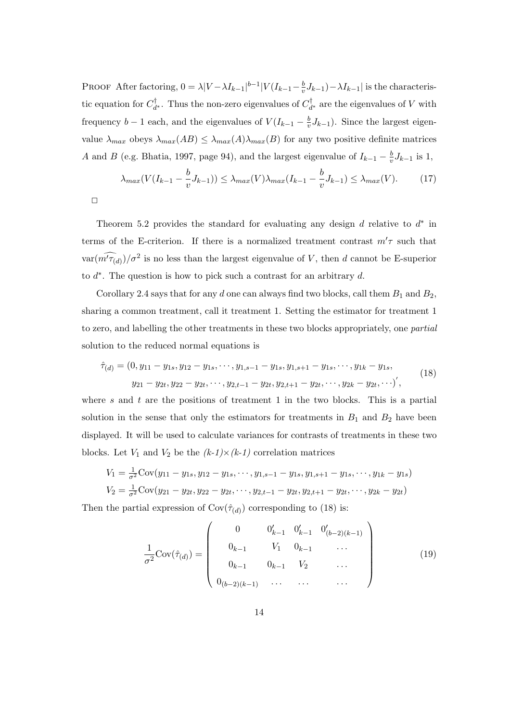PROOF After factoring,  $0 = \lambda |V - \lambda I_{k-1}|^{b-1} |V(I_{k-1} - \frac{b}{v})|$  $\frac{b}{v}J_{k-1}$ ) –  $\lambda I_{k-1}$  is the characteristic equation for  $C_d^{\dagger}$ <sup>†</sup><sub> $d^*$ </sub>. Thus the non-zero eigenvalues of  $C_d^{\dagger}$  $d^{\dagger}_{d^*}$  are the eigenvalues of V with frequency  $b-1$  each, and the eigenvalues of  $V(I_{k-1}-\frac{b}{n})$  $\frac{b}{v}J_{k-1}$ ). Since the largest eigenvalue  $\lambda_{max}$  obeys  $\lambda_{max}(AB) \leq \lambda_{max}(A)\lambda_{max}(B)$  for any two positive definite matrices A and B (e.g. Bhatia, 1997, page 94), and the largest eigenvalue of  $I_{k-1} - \frac{b}{v}$  $\frac{b}{v}J_{k-1}$  is 1,

$$
\lambda_{max}(V(I_{k-1} - \frac{b}{v}J_{k-1})) \le \lambda_{max}(V)\lambda_{max}(I_{k-1} - \frac{b}{v}J_{k-1}) \le \lambda_{max}(V). \tag{17}
$$

$$
\Box
$$

Theorem 5.2 provides the standard for evaluating any design  $d$  relative to  $d^*$  in terms of the E-criterion. If there is a normalized treatment contrast  $m'\tau$  such that  $var(\widehat{m'\tau_{(d)}})/\sigma^2$  is no less than the largest eigenvalue of V, then d cannot be E-superior to  $d^*$ . The question is how to pick such a contrast for an arbitrary  $d$ .

Corollary 2.4 says that for any d one can always find two blocks, call them  $B_1$  and  $B_2$ , sharing a common treatment, call it treatment 1. Setting the estimator for treatment 1 to zero, and labelling the other treatments in these two blocks appropriately, one partial solution to the reduced normal equations is

$$
\hat{\tau}_{(d)} = (0, y_{11} - y_{1s}, y_{12} - y_{1s}, \cdots, y_{1,s-1} - y_{1s}, y_{1,s+1} - y_{1s}, \cdots, y_{1k} - y_{1s},
$$
\n
$$
y_{21} - y_{2t}, y_{22} - y_{2t}, \cdots, y_{2,t-1} - y_{2t}, y_{2,t+1} - y_{2t}, \cdots, y_{2k} - y_{2t}, \cdots),
$$
\n(18)

where  $s$  and  $t$  are the positions of treatment 1 in the two blocks. This is a partial solution in the sense that only the estimators for treatments in  $B_1$  and  $B_2$  have been displayed. It will be used to calculate variances for contrasts of treatments in these two blocks. Let  $V_1$  and  $V_2$  be the  $(k-1)\times(k-1)$  correlation matrices

$$
V_1 = \frac{1}{\sigma^2} \text{Cov}(y_{11} - y_{1s}, y_{12} - y_{1s}, \cdots, y_{1,s-1} - y_{1s}, y_{1,s+1} - y_{1s}, \cdots, y_{1k} - y_{1s})
$$
  
\n
$$
V_2 = \frac{1}{\sigma^2} \text{Cov}(y_{21} - y_{2t}, y_{22} - y_{2t}, \cdots, y_{2,t-1} - y_{2t}, y_{2,t+1} - y_{2t}, \cdots, y_{2k} - y_{2t})
$$

Then the partial expression of  $Cov(\hat{\tau}_{(d)})$  corresponding to (18) is:  $\overline{\phantom{a}}$ 

$$
\frac{1}{\sigma^2} \text{Cov}(\hat{\tau}_{(d)}) = \begin{pmatrix} 0 & 0'_{k-1} & 0'_{k-1} & 0'_{(b-2)(k-1)} \\ 0_{k-1} & V_1 & 0_{k-1} & \dots \\ 0_{k-1} & 0_{k-1} & V_2 & \dots \\ 0_{(b-2)(k-1)} & \dots & \dots & \dots \end{pmatrix}
$$
(19)

 $\mathbf{r}$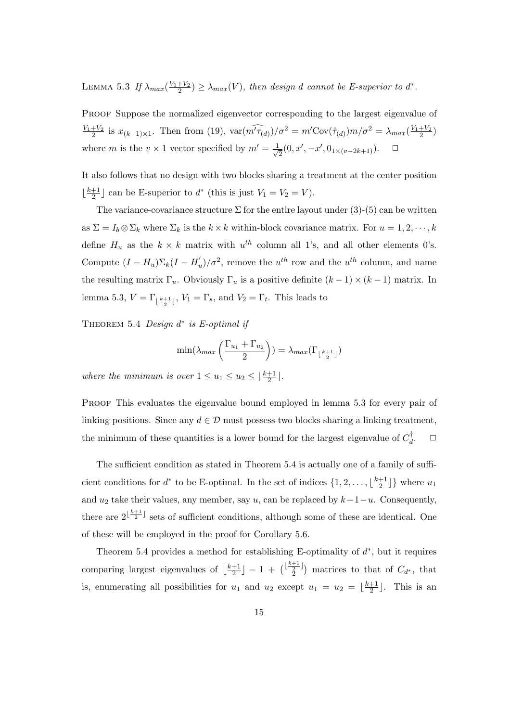LEMMA 5.3 If  $\lambda_{max}(\frac{V_1+V_2}{2}) \geq \lambda_{max}(V)$ , then design d cannot be E-superior to  $d^*$ .

PROOF Suppose the normalized eigenvector corresponding to the largest eigenvalue of  $\frac{V_1+V_2}{2}$  is  $x_{(k-1)\times 1}$ . Then from (19),  $\text{var}(\widehat{m'_{\tau(d)}})/\sigma^2 = m'\text{Cov}(\hat{\tau}_{(d)})m/\sigma^2 = \lambda_{max}(\frac{V_1+V_2}{2})$ where m is the  $v \times 1$  vector specified by  $m' = \frac{1}{\sqrt{2}}$  $\overline{a}(0, x', -x', 0_{1 \times (v-2k+1)}).$ 

It also follows that no design with two blocks sharing a treatment at the center position  $\frac{k+1}{2}$  $\frac{+1}{2}$  can be E-superior to  $d^*$  (this is just  $V_1 = V_2 = V$ ).

The variance-covariance structure  $\Sigma$  for the entire layout under (3)-(5) can be written as  $\Sigma = I_b \otimes \Sigma_k$  where  $\Sigma_k$  is the  $k \times k$  within-block covariance matrix. For  $u = 1, 2, \dots, k$ define  $H_u$  as the  $k \times k$  matrix with  $u^{th}$  column all 1's, and all other elements 0's. Compute  $(I - H_u) \Sigma_k (I - H_u)/\sigma^2$ , remove the  $u^{th}$  row and the  $u^{th}$  column, and name the resulting matrix  $\Gamma_u$ . Obviously  $\Gamma_u$  is a positive definite  $(k-1) \times (k-1)$  matrix. In lemma 5.3,  $V = \Gamma_{\lfloor \frac{k+1}{2} \rfloor}$ ,  $V_1 = \Gamma_s$ , and  $V_2 = \Gamma_t$ . This leads to

THEOREM 5.4 Design  $d^*$  is E-optimal if

$$
\min(\lambda_{max}\left(\frac{\Gamma_{u_1} + \Gamma_{u_2}}{2}\right)) = \lambda_{max}(\Gamma_{\lfloor \frac{k+1}{2} \rfloor})
$$

where the minimum is over  $1 \le u_1 \le u_2 \le \lfloor \frac{k+1}{2} \rfloor$ .

PROOF This evaluates the eigenvalue bound employed in lemma 5.3 for every pair of linking positions. Since any  $d \in \mathcal{D}$  must possess two blocks sharing a linking treatment, the minimum of these quantities is a lower bound for the largest eigenvalue of  $C_d^{\dagger}$ d  $\Box$ 

The sufficient condition as stated in Theorem 5.4 is actually one of a family of sufficient conditions for  $d^*$  to be E-optimal. In the set of indices  $\{1, 2, \ldots, \lfloor \frac{k+1}{2} \rfloor\}$  $\frac{+1}{2}$  where  $u_1$ and  $u_2$  take their values, any member, say u, can be replaced by  $k+1-u$ . Consequently, there are  $2^{\lfloor \frac{k+1}{2} \rfloor}$  sets of sufficient conditions, although some of these are identical. One of these will be employed in the proof for Corollary 5.6.

Theorem 5.4 provides a method for establishing E-optimality of  $d^*$ , but it requires comparing largest eigenvalues of  $\frac{k+1}{2}$  $\frac{+1}{2}$ ] - 1 +  $\binom{\lfloor \frac{k+1}{2} \rfloor}{2}$  $\bar{2}$ ) matrices to that of  $C_{d^*}$ , that is, enumerating all possibilities for  $u_1$  and  $u_2$  except  $u_1 = u_2 = \lfloor \frac{k+1}{2} \rfloor$  $\frac{+1}{2}$ . This is an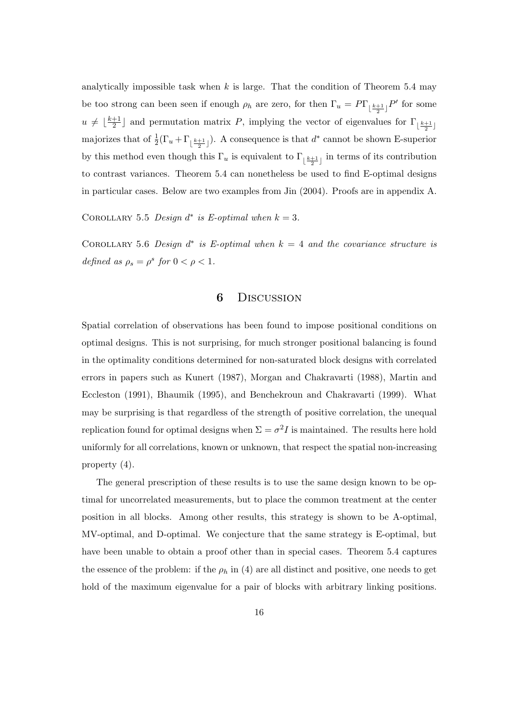analytically impossible task when  $k$  is large. That the condition of Theorem 5.4 may be too strong can been seen if enough  $\rho_h$  are zero, for then  $\Gamma_u = P\Gamma_{\lfloor \frac{k+1}{2} \rfloor} P'$  for some  $u \neq \lfloor \frac{k+1}{2} \rfloor$  $\frac{+1}{2}$  and permutation matrix P, implying the vector of eigenvalues for  $\Gamma_{\lfloor \frac{k+1}{2} \rfloor}$ majorizes that of  $\frac{1}{2}(\Gamma_u + \Gamma_{\lfloor \frac{k+1}{2} \rfloor})$ . A consequence is that  $d^*$  cannot be shown E-superior by this method even though this  $\Gamma_u$  is equivalent to  $\Gamma_{\lfloor \frac{k+1}{2} \rfloor}$  in terms of its contribution to contrast variances. Theorem 5.4 can nonetheless be used to find E-optimal designs in particular cases. Below are two examples from Jin (2004). Proofs are in appendix A.

COROLLARY 5.5 Design  $d^*$  is E-optimal when  $k = 3$ .

COROLLARY 5.6 Design  $d^*$  is E-optimal when  $k = 4$  and the covariance structure is defined as  $\rho_s = \rho^s$  for  $0 < \rho < 1$ .

#### 6 Discussion

Spatial correlation of observations has been found to impose positional conditions on optimal designs. This is not surprising, for much stronger positional balancing is found in the optimality conditions determined for non-saturated block designs with correlated errors in papers such as Kunert (1987), Morgan and Chakravarti (1988), Martin and Eccleston (1991), Bhaumik (1995), and Benchekroun and Chakravarti (1999). What may be surprising is that regardless of the strength of positive correlation, the unequal replication found for optimal designs when  $\Sigma = \sigma^2 I$  is maintained. The results here hold uniformly for all correlations, known or unknown, that respect the spatial non-increasing property (4).

The general prescription of these results is to use the same design known to be optimal for uncorrelated measurements, but to place the common treatment at the center position in all blocks. Among other results, this strategy is shown to be A-optimal, MV-optimal, and D-optimal. We conjecture that the same strategy is E-optimal, but have been unable to obtain a proof other than in special cases. Theorem 5.4 captures the essence of the problem: if the  $\rho_h$  in (4) are all distinct and positive, one needs to get hold of the maximum eigenvalue for a pair of blocks with arbitrary linking positions.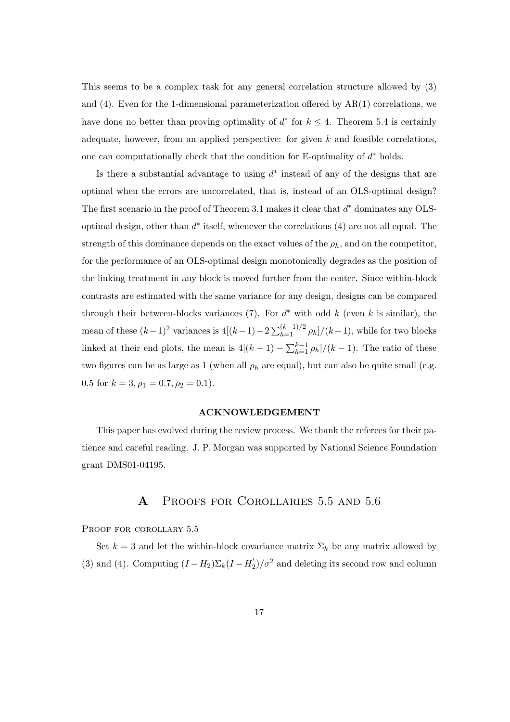This seems to be a complex task for any general correlation structure allowed by (3) and  $(4)$ . Even for the 1-dimensional parameterization offered by  $AR(1)$  correlations, we have done no better than proving optimality of  $d^*$  for  $k \leq 4$ . Theorem 5.4 is certainly adequate, however, from an applied perspective: for given  $k$  and feasible correlations. one can computationally check that the condition for E-optimality of  $d^*$  holds.

Is there a substantial advantage to using  $d^*$  instead of any of the designs that are optimal when the errors are uncorrelated, that is, instead of an OLS-optimal design? The first scenario in the proof of Theorem 3.1 makes it clear that  $d^*$  dominates any OLSoptimal design, other than  $d^*$  itself, whenever the correlations (4) are not all equal. The strength of this dominance depends on the exact values of the  $\rho_h$ , and on the competitor, for the performance of an OLS-optimal design monotonically degrades as the position of the linking treatment in any block is moved further from the center. Since within-block contrasts are estimated with the same variance for any design, designs can be compared through their between-blocks variances (7). For  $d^*$  with odd k (even k is similar), the mean of these  $(k-1)^2$  variances is  $4[(k-1)-2\sum_{h=1}^{(k-1)/2} \rho_h]/(k-1)$ , while for two blocks linked at their end plots, the mean is  $4[(k-1)-\sum_{h=1}^{k-1} \rho_h]/(k-1)$ . The ratio of these two figures can be as large as 1 (when all  $\rho_h$  are equal), but can also be quite small (e.g. 0.5 for  $k = 3, \rho_1 = 0.7, \rho_2 = 0.1$ .

#### ACKNOWLEDGEMENT

This paper has evolved during the review process. We thank the referees for their patience and careful reading. J. P. Morgan was supported by National Science Foundation grant DMS01-04195.

# A Proofs for Corollaries 5.5 and 5.6

PROOF FOR COROLLARY 5.5

Set  $k = 3$  and let the within-block covariance matrix  $\Sigma_k$  be any matrix allowed by (3) and (4). Computing  $(I - H_2)\Sigma_k(I - H_2')/\sigma^2$  and deleting its second row and column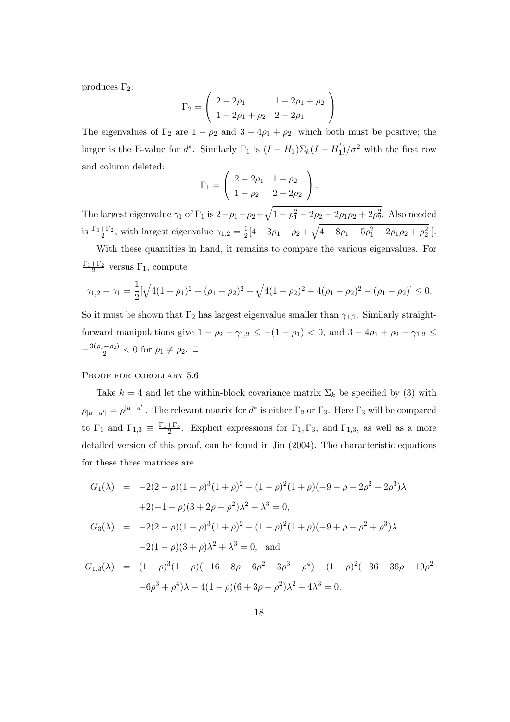produces  $\Gamma_2$ :

$$
\Gamma_2 = \left(\begin{array}{cc} 2 - 2\rho_1 & 1 - 2\rho_1 + \rho_2 \\ 1 - 2\rho_1 + \rho_2 & 2 - 2\rho_1 \end{array}\right)
$$

The eigenvalues of  $\Gamma_2$  are  $1 - \rho_2$  and  $3 - 4\rho_1 + \rho_2$ , which both must be positive; the larger is the E-value for  $d^*$ . Similarly  $\Gamma_1$  is  $(I - H_1) \Sigma_k (I - H_1') / \sigma^2$  with the first row and column deleted:  $\overline{\phantom{a}}$  $\mathbf{r}$ 

$$
\Gamma_1 = \left( \begin{array}{cc} 2 - 2\rho_1 & 1 - \rho_2 \\ 1 - \rho_2 & 2 - 2\rho_2 \end{array} \right).
$$

The largest eigenvalue  $\gamma_1$  of  $\Gamma_1$  is  $2-\rho_1-\rho_2+$  $1 + \rho_1^2 - 2\rho_2 - 2\rho_1\rho_2 + 2\rho_2^2$ . Also needed is  $\frac{\Gamma_1 + \Gamma_2}{2}$ , with largest eigenvalue  $\gamma_{1,2} = \frac{1}{2}$  $\frac{1}{2}[4-3\rho_1-\rho_2+\sqrt{4-8\rho_1+5\rho_1^2-2\rho_1\rho_2+\rho_2^2}].$  $\overline{\phantom{a}}$ 

With these quantities in hand, it remains to compare the various eigenvalues. For  $\frac{\Gamma_1+\Gamma_2}{2}$  versus  $\Gamma_1$ , compute

$$
\gamma_{1,2} - \gamma_1 = \frac{1}{2} [\sqrt{4(1-\rho_1)^2 + (\rho_1-\rho_2)^2} - \sqrt{4(1-\rho_2)^2 + 4(\rho_1-\rho_2)^2} - (\rho_1-\rho_2)] \le 0.
$$

So it must be shown that  $\Gamma_2$  has largest eigenvalue smaller than  $\gamma_{1,2}$ . Similarly straightforward manipulations give  $1 - \rho_2 - \gamma_{1,2} \le -(1 - \rho_1) < 0$ , and  $3 - 4\rho_1 + \rho_2 - \gamma_{1,2} \le$  $-\frac{3(\rho_1-\rho_2)}{2}$  < 0 for  $\rho_1 \neq \rho_2$ . □

#### PROOF FOR COROLLARY 5.6

Take  $k = 4$  and let the within-block covariance matrix  $\Sigma_k$  be specified by (3) with  $\rho_{|u-u'|} = \rho^{|u-u'|}$ . The relevant matrix for  $d^*$  is either  $\Gamma_2$  or  $\Gamma_3$ . Here  $\Gamma_3$  will be compared to  $\Gamma_1$  and  $\Gamma_{1,3} \equiv \frac{\Gamma_1 + \Gamma_3}{2}$ . Explicit expressions for  $\Gamma_1, \Gamma_3$ , and  $\Gamma_{1,3}$ , as well as a more detailed version of this proof, can be found in Jin (2004). The characteristic equations for these three matrices are

$$
G_1(\lambda) = -2(2 - \rho)(1 - \rho)^3(1 + \rho)^2 - (1 - \rho)^2(1 + \rho)(-9 - \rho - 2\rho^2 + 2\rho^3)\lambda
$$
  
+2(-1 + \rho)(3 + 2\rho + \rho^2)\lambda^2 + \lambda^3 = 0,  

$$
G_3(\lambda) = -2(2 - \rho)(1 - \rho)^3(1 + \rho)^2 - (1 - \rho)^2(1 + \rho)(-9 + \rho - \rho^2 + \rho^3)\lambda
$$
  
-2(1 - \rho)(3 + \rho)\lambda^2 + \lambda^3 = 0, and  

$$
G_{1,3}(\lambda) = (1 - \rho)^3(1 + \rho)(-16 - 8\rho - 6\rho^2 + 3\rho^3 + \rho^4) - (1 - \rho)^2(-36 - 36\rho - 19\rho^2 -6\rho^3 + \rho^4)\lambda - 4(1 - \rho)(6 + 3\rho + \rho^2)\lambda^2 + 4\lambda^3 = 0.
$$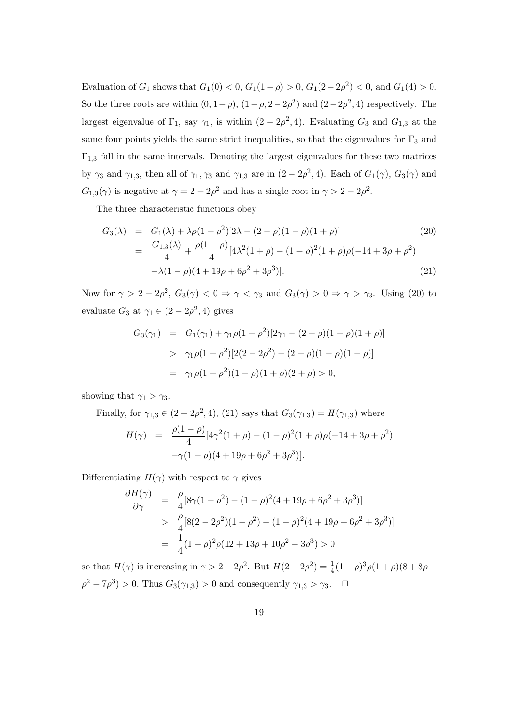Evaluation of  $G_1$  shows that  $G_1(0) < 0$ ,  $G_1(1-\rho) > 0$ ,  $G_1(2-2\rho^2) < 0$ , and  $G_1(4) > 0$ . So the three roots are within  $(0, 1-\rho)$ ,  $(1-\rho, 2-2\rho^2)$  and  $(2-2\rho^2, 4)$  respectively. The largest eigenvalue of  $\Gamma_1$ , say  $\gamma_1$ , is within  $(2 - 2\rho^2, 4)$ . Evaluating  $G_3$  and  $G_{1,3}$  at the same four points yields the same strict inequalities, so that the eigenvalues for  $\Gamma_3$  and  $\Gamma_{1,3}$  fall in the same intervals. Denoting the largest eigenvalues for these two matrices by  $\gamma_3$  and  $\gamma_{1,3}$ , then all of  $\gamma_1, \gamma_3$  and  $\gamma_{1,3}$  are in  $(2-2\rho^2, 4)$ . Each of  $G_1(\gamma)$ ,  $G_3(\gamma)$  and  $G_{1,3}(\gamma)$  is negative at  $\gamma = 2 - 2\rho^2$  and has a single root in  $\gamma > 2 - 2\rho^2$ .

The three characteristic functions obey

$$
G_3(\lambda) = G_1(\lambda) + \lambda \rho (1 - \rho^2) [2\lambda - (2 - \rho)(1 - \rho)(1 + \rho)] \qquad (20)
$$
  
= 
$$
\frac{G_{1,3}(\lambda)}{4} + \frac{\rho(1 - \rho)}{4} [4\lambda^2 (1 + \rho) - (1 - \rho)^2 (1 + \rho)\rho(-14 + 3\rho + \rho^2) -\lambda(1 - \rho)(4 + 19\rho + 6\rho^2 + 3\rho^3)]. \qquad (21)
$$

Now for  $\gamma > 2 - 2\rho^2$ ,  $G_3(\gamma) < 0 \Rightarrow \gamma < \gamma_3$  and  $G_3(\gamma) > 0 \Rightarrow \gamma > \gamma_3$ . Using (20) to evaluate  $G_3$  at  $\gamma_1 \in (2 - 2\rho^2, 4)$  gives

$$
G_3(\gamma_1) = G_1(\gamma_1) + \gamma_1 \rho (1 - \rho^2) [2\gamma_1 - (2 - \rho)(1 - \rho)(1 + \rho)]
$$
  
> 
$$
\gamma_1 \rho (1 - \rho^2) [2(2 - 2\rho^2) - (2 - \rho)(1 - \rho)(1 + \rho)]
$$
  
= 
$$
\gamma_1 \rho (1 - \rho^2)(1 - \rho)(1 + \rho)(2 + \rho) > 0,
$$

showing that  $\gamma_1 > \gamma_3$ .

Finally, for 
$$
\gamma_{1,3} \in (2 - 2\rho^2, 4)
$$
, (21) says that  $G_3(\gamma_{1,3}) = H(\gamma_{1,3})$  where  
\n
$$
H(\gamma) = \frac{\rho(1 - \rho)}{4} [4\gamma^2 (1 + \rho) - (1 - \rho)^2 (1 + \rho) \rho(-14 + 3\rho + \rho^2) -\gamma (1 - \rho)(4 + 19\rho + 6\rho^2 + 3\rho^3)].
$$

Differentiating  $H(\gamma)$  with respect to  $\gamma$  gives

$$
\frac{\partial H(\gamma)}{\partial \gamma} = \frac{\rho}{4} [8\gamma (1 - \rho^2) - (1 - \rho)^2 (4 + 19\rho + 6\rho^2 + 3\rho^3)]
$$
  
> 
$$
\frac{\rho}{4} [8(2 - 2\rho^2)(1 - \rho^2) - (1 - \rho)^2 (4 + 19\rho + 6\rho^2 + 3\rho^3)]
$$
  
= 
$$
\frac{1}{4} (1 - \rho)^2 \rho (12 + 13\rho + 10\rho^2 - 3\rho^3) > 0
$$

so that  $H(\gamma)$  is increasing in  $\gamma > 2 - 2\rho^2$ . But  $H(2 - 2\rho^2) = \frac{1}{4}(1 - \rho)^3 \rho (1 + \rho)(8 + 8\rho + \rho^2)$  $\rho^2 - 7\rho^3$  > 0. Thus  $G_3(\gamma_{1,3}) > 0$  and consequently  $\gamma_{1,3} > \gamma_3$ .  $\Box$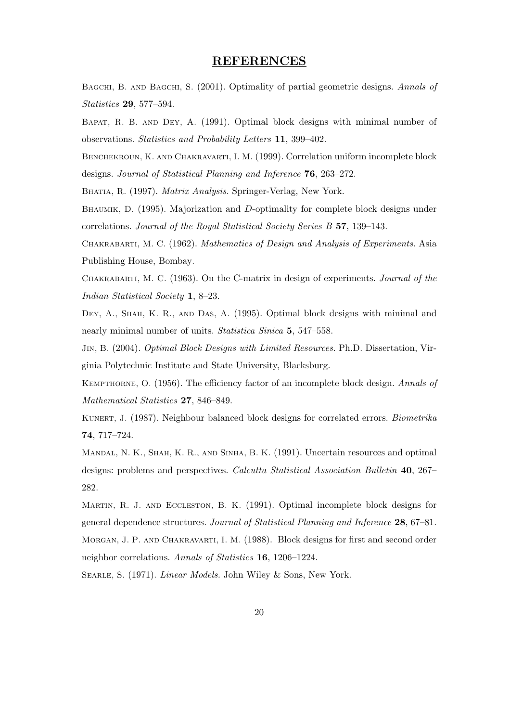#### REFERENCES

BAGCHI, B. AND BAGCHI, S. (2001). Optimality of partial geometric designs. Annals of Statistics 29, 577–594.

Bapat, R. B. and Dey, A. (1991). Optimal block designs with minimal number of observations. Statistics and Probability Letters 11, 399–402.

Benchekroun, K. and Chakravarti, I. M. (1999). Correlation uniform incomplete block designs. Journal of Statistical Planning and Inference 76, 263–272.

BHATIA, R. (1997). *Matrix Analysis*. Springer-Verlag, New York.

BHAUMIK, D. (1995). Majorization and D-optimality for complete block designs under correlations. Journal of the Royal Statistical Society Series B 57, 139–143.

Chakrabarti, M. C. (1962). Mathematics of Design and Analysis of Experiments. Asia Publishing House, Bombay.

Chakrabarti, M. C. (1963). On the C-matrix in design of experiments. Journal of the Indian Statistical Society 1, 8–23.

Dey, A., Shah, K. R., and Das, A. (1995). Optimal block designs with minimal and nearly minimal number of units. Statistica Sinica 5, 547–558.

JIN, B. (2004). *Optimal Block Designs with Limited Resources*. Ph.D. Dissertation, Virginia Polytechnic Institute and State University, Blacksburg.

Kempthorne, O. (1956). The efficiency factor of an incomplete block design. Annals of Mathematical Statistics 27, 846–849.

KUNERT, J. (1987). Neighbour balanced block designs for correlated errors. *Biometrika* 74, 717–724.

Mandal, N. K., Shah, K. R., and Sinha, B. K. (1991). Uncertain resources and optimal designs: problems and perspectives. Calcutta Statistical Association Bulletin 40, 267– 282.

Martin, R. J. and Eccleston, B. K. (1991). Optimal incomplete block designs for general dependence structures. Journal of Statistical Planning and Inference 28, 67–81. MORGAN, J. P. AND CHAKRAVARTI, I. M. (1988). Block designs for first and second order neighbor correlations. Annals of Statistics 16, 1206–1224.

SEARLE, S. (1971). *Linear Models*. John Wiley & Sons, New York.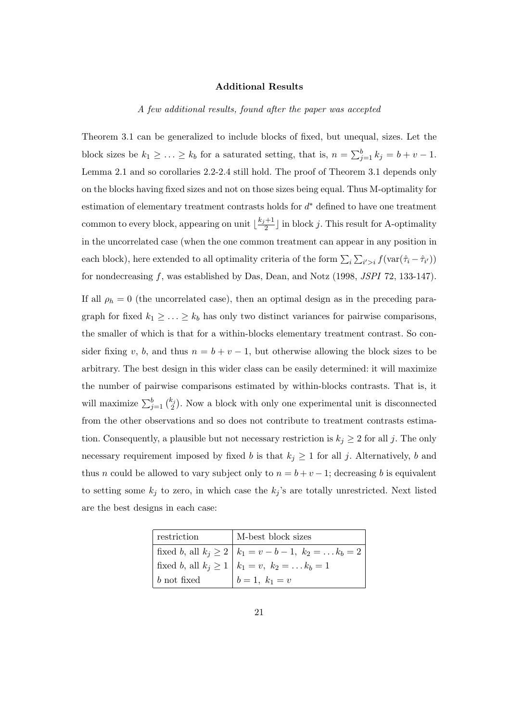#### Additional Results

#### A few additional results, found after the paper was accepted

Theorem 3.1 can be generalized to include blocks of fixed, but unequal, sizes. Let the block sizes be  $k_1 \geq \ldots \geq k_b$  for a saturated setting, that is,  $n = \sum_{j=1}^{b} k_j = b + v - 1$ . Lemma 2.1 and so corollaries 2.2-2.4 still hold. The proof of Theorem 3.1 depends only on the blocks having fixed sizes and not on those sizes being equal. Thus M-optimality for estimation of elementary treatment contrasts holds for  $d^*$  defined to have one treatment common to every block, appearing on unit  $\frac{k_j+1}{2}$  $\frac{+1}{2}$  in block j. This result for A-optimality in the uncorrelated case (when the one common treatment can appear in any position in each block), here extended to all optimality criteria of the form  $\sum_i$  $\overline{ }$  $i > i f(\text{var}(\hat{\tau}_i - \hat{\tau}_{i'}))$ for nondecreasing f, was established by Das, Dean, and Notz (1998, JSPI 72, 133-147). If all  $\rho_h = 0$  (the uncorrelated case), then an optimal design as in the preceding paragraph for fixed  $k_1 \geq \ldots \geq k_b$  has only two distinct variances for pairwise comparisons, the smaller of which is that for a within-blocks elementary treatment contrast. So consider fixing v, b, and thus  $n = b + v - 1$ , but otherwise allowing the block sizes to be arbitrary. The best design in this wider class can be easily determined: it will maximize the number of pairwise comparisons estimated by within-blocks contrasts. That is, it will maximize  $\sum_{j=1}^{b} {k_j \choose 2}$ ¢ . Now a block with only one experimental unit is disconnected from the other observations and so does not contribute to treatment contrasts estimation. Consequently, a plausible but not necessary restriction is  $k_j \geq 2$  for all j. The only necessary requirement imposed by fixed b is that  $k_j \geq 1$  for all j. Alternatively, b and thus n could be allowed to vary subject only to  $n = b + v - 1$ ; decreasing b is equivalent to setting some  $k_j$  to zero, in which case the  $k_j$ 's are totally unrestricted. Next listed are the best designs in each case:

| restriction   | M-best block sizes                                         |
|---------------|------------------------------------------------------------|
|               | fixed b, all $k_j \ge 2   k_1 = v - b - 1, k_2 =  k_b = 2$ |
|               | fixed <i>b</i> , all $k_j \ge 1   k_1 = v, k_2 =  k_b = 1$ |
| $b$ not fixed | $b = 1, k_1 = v$                                           |